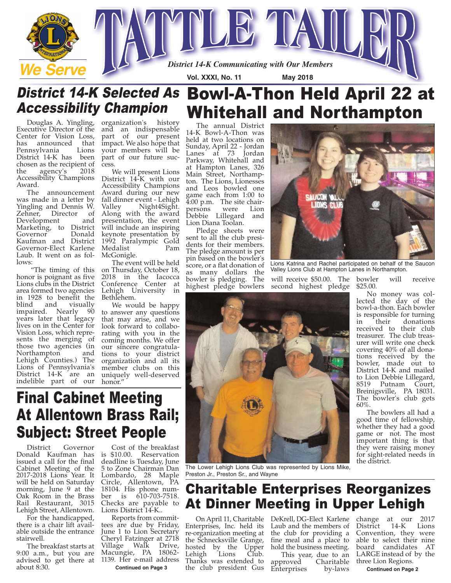

## District 14-K Selected As Bowl-A-Thon Held April 22 at Whitehall and Northampton Accessibility Champion

Executive Director of the Center for Vision Loss,<br>has announced that announced that<br>svlvania Lions Pennsylvania District 14-K has been chosen as the recipient of<br>the agency's 2018 agency's Accessibility Champions Award.

The announcement was made in a letter by Yingling and Dennis W.<br>Zehner, Director of Director Development and Marketing, to District Governor Kaufman and District Governor-Elect Karlene Laub. It went on as follows:

"The timing of this honor is poignant as five Lions clubs in the District area formed two agencies in 1928 to benefit the visually<br>arly 90 impaired. Nearly years later that legacy lives on in the Center for Vision Loss, which represents the merging of those two agencies (in Northampton and Lehigh Counties.) The Lions of Pennsylvania's District 14-K are an indelible part of our

Douglas A. Yingling, organization's history and an indispensable part of our present impact. We also hope that your members will be part of our future success.

> We will present Lions District 14-K with our Accessibility Champions Award during our new fall dinner event - Lehigh<br>Valley Night4Sight. Night4Sight. Along with the award presentation, the event will include an inspiring keynote presentation by 1992 Paralympic Gold Medalist McGonigle.

> The event will be held on Thursday, October 18, 2018 in the Iacocca Conference Center at Lehigh University in Bethlehem.

We would be happy to answer any questions that may arise, and we look forward to collaborating with you in the coming months. We offer our sincere congratulations to your district organization and all its member clubs on this uniquely well-deserved

The annual District 14-K Bowl-A-Thon was held at two locations on Sunday, April 22 - Jordan Lanes at 73 Jordan Parkway, Whitehall and at Hampton Lanes, 326 Main Street, Northampton. The Lions, Lionesses and Leos bowled one game each from 1:00 to 4:00 p.m. The site chair-<br>persons were Lion persons were Lion Debbie Lillegard and Lion Diana Toolan.

Pledge sheets were sent to all the club presidents for their members. The pledge amount is per pin based on the bowler's score, or a flat donation of as many dollars the bowler is pledging. The highest pledge bowlers

will receive \$50.00. The second highest pledge Valley Lions Club at Hampton Lanes in Northampton.

**LICTAN** 

Lions Katrina and Rachel participated on behalf of the Saucon

bowler will receive \$25.00.

No money was collected the day of the bowl-a-thon. Each bowler is responsible for turning in their donations received to their club treasurer. The club treasurer will write one check covering 40% of all donations received by the bowler, made out to District 14-K and mailed to Lion Debbie Lillegard, 8519 Putnam Court, Breinigsville, PA 18031. The bowler's club gets 60%.

The bowlers all had a good time of fellowship, whether they had a good game or not. The most important thing is that they were raising money for sight-related needs in the district.

# honor." Final Cabinet Meeting At Allentown Brass Rail; Subject: Street People

District Governor Donald Kaufman has issued a call for the final Cabinet Meeting of the 2017-2018 Lions Year. It will be held on Saturday morning, June 9 at the Oak Room in the Brass Rail Restaurant, 3015 Lehigh Street, Allentown.

For the handicapped, there is a chair lift available outside the entrance stairwell.

The breakfast starts at 9:00 a.m., but you are advised to get there at about 8:30.

Cost of the breakfast is \$10.00. Reservation deadline is Tuesday, June 5 to Zone Chairman Dan Lombardo, 28 Maple Circle, Allentown, PA 18104. His phone number is 610-703-7518. Checks are payable to Lions District 14-K..

Reports from committees are due by Friday, June 1 to Lion Secretary Cheryl Fatzinger at 2718 Village Walk Drive, Macungie, PA 18062- 1139. Her e-mail address

**Continued on Page 3**

The Lower Lehigh Lions Club was represented by Lions Mike, Preston Jr., Preston Sr., and Wayne

# Charitable Enterprises Reorganizes At Dinner Meeting in Upper Lehigh

On April 11, Charitable DeKrell, DG-Elect Karlene change at our 2017 Enterprises, Inc. held its re-organization meeting at the Schnecksville Grange, hosted by the Upper<br>Lehigh Lions Club. Lehigh Thanks was extended to

Laub and the members of the club for providing a fine meal and a place to hold the business meeting.

the club president Gus Enterprises by-laws This year, due to an<br>proved Charitable approved Charitable<br>Enterprises by-laws

District 14-K Lions Convention, they were able to select their nine board candidates AT LARGE instead of by the three Lion Regions.

**Continued on Page 2**

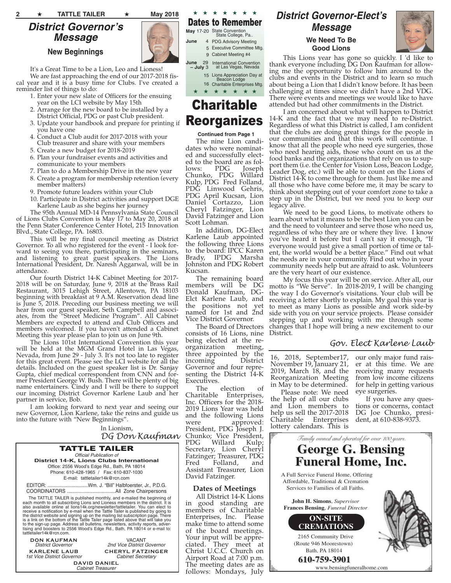## *District Governor's Message*

**New Beginnings**



It's a Great Time to be a Lion, Leo and Lioness! We are fast approaching the end of our 2017-2018 fiscal year and it is a busy time for Clubs. I've created a reminder list of things to do:

- 1. Enter your new slate of Officers for the ensuing year on the LCI website by May 15th
- 2. Arrange for the new board to be installed by a District Official, PDG or past Club president.
- 3. Update your handbook and prepare for printing if you have one
- 4. Conduct a Club audit for 2017-2018 with your Club treasurer and share with your members
- 5. Create a new budget for 2018-2019
- 6. Plan your fundraiser events and activities and communicate to your members
- 7. Plan to do a Membership Drive in the new year
- 8. Create a program for membership retention (every member matters)
- 9. Promote future leaders within your Club
- 10. Participate in District activities and support DGE Karlene Laub as she begins her journey

The 95th Annual MD-14 Pennsylvania State Council of Lions Clubs Convention is May 17 to May 20, 2018 at the Penn Stater Conference Center Hotel, 215 Innovation Blvd., State College, PA. 16803.

This will be my final council meeting as District Governor. To all who registered for the event - I look forward to seeing you there, participating in the seminars, and listening to great guest speakers. The Lions International President, Dr. Naresh Aggarwal, will be in attendance.

Our fourth District 14-K Cabinet Meeting for 2017- 2018 will be on Saturday, June 9, 2018 at the Brass Rail Restaurant, 3015 Lehigh Street, Allentown, PA 18103 beginning with breakfast at 9 A.M. Reservation dead line is June 5, 2018. Preceding our business meeting we will hear from our guest speaker, Seth Campbell and associates, from the "Street Medicine Program". All Cabinet Members are expected to attend and Club Officers and members welcomed. If you haven't attended a Cabinet Meeting this year please plan to join us on June 9th.

The Lions 101st International Convention this year will be held at the MGM Grand Hotel in Las Vegas, Nevada, from June 29 - July 3. It's not too late to register for this great event. Please see the LCI website for all the details. Included on the guest speaker list is Dr. Sanjay Gupta, chief medical correspondent from CNN and former President George W. Bush. There will be plenty of big name entertainers. Cindy and I will be there to support our incoming District Governor Karlene Laub and her partner in service, Bob.

I am looking forward to next year and seeing our new Governor, Lion Karlene, take the reins and guide us into the future with "New Beginnings".

In Lionism,

*DG Don Kaufman*

VACANT *2nd Vice District Governor* **CHERYL FATZINGER** *Cabinet Secretary*

#### TATTLE TAILER *Official Publication of* **District 14-K, Lions Clubs International** Office: 2556 Wood's Edge Rd., Bath, PA 18014 Phone: 610-428-1965 / Fax: 610-837-1030 E-mail: tattletailer14k@rcn.com EDITOR: ..............................Wm. J. "Bill" Halbfoerster, Jr., P.D.G.

COORDINATORS ....................................All Zone Chairpersons

The TATTLE TAILER is published monthly, and e-mailed the beginning of each monthlo all slobscribing Lions and Lionets and Salso available online at lions 14 korg/newsletter/tattletailer. You can elect to take a hot also av tattletailer14k@rcn.com.

**DON KAUFMAN** *District Governor*

**KARLENE LAUB** *1st Vice District Governor*

**DAVID DANIEL** *Cabinet Treasurer*

★ ★ ★ ★ ★ ★ ★ Dates to Remember **May 17-20 State Convention** State College, Pa. 4 PDG Advisory Meeting Executive Committee Mtg. 5 **June** 

- International Convention at Las Vegas, Nevada **June** 29 **– July** 3
	- Lions Appreciation Day at Beacon Lodge 15 16 Charitable Enterprises Mtg. ★ ★ ★ ★ ★ ★ ★

# Charitable Reorganizes

**Continued from Page 1** The nine Lion candidates who were nominated and successfully elected to the board are as fol-<br>lows: PDG Joseph lows: PDG Joseph Chunko, PDG Willard Kulp, PDG Fred Folland, PDG Linwood Gehris, PDG April Kucsan, Lion Daniel Cortazzo, Lion Cheryl Fatzinger, Lion David Fatzinger and Lion Scott Lohman.

In addition, DG-Elect Karlene Laub appointed the following three Lions to the board: IPCC Karen Brady, IPDG Marsha Johnston and PDG Robert Kucsan.

The remaining board members will be DG Donald Kaufman, DG-Elct Karlene Laub, and the positions not yet named for 1st and 2nd Vice District Governor.

The Board of Directors consists of 16 Lions, nine being elected at the re-<br>organization meeting, organization three appointed by the<br>incoming District incoming Governor and four representing the District 14-K Executives.

The election of Charitable Enterprises, Inc. Officers for the 2018- 2019 Lions Year was held and the following Lions were approved: President, PDG Joseph J. Chunko; Vice President, PDG Willard Kulp; Secretary, Lion Cheryl Fatzinger; Treasurer, PDG<br>Fred Folland, and Folland, and Assistant Treasurer, Lion David Fatzinger.

#### **Dates of Meetings**

All District 14-K Lions in good standing are members of Charitable Enterprises, Inc. Please make time to attend some of the board meetings. Your input will be appreciated. They meet at Christ U.C.C. Church on Airport Road at 7:00 p.m. The meeting dates are as follows: Mondays, July

## *District Governor-Elect's Message*

#### **We Need To Be Good Lions**



This Lions year has gone so quickly. I 'd like to thank everyone including DG Don Kaufman for allowing me the opportunity to follow him around to the clubs and events in the District and to learn so much about being a Lion that I didn't know before. It has been challenging at times since we didn't have a 2nd VDG. There were events and meetings we would like to have attended but had other commitments in the District.

I am concerned about what will happen to District 14-K and the fact that we may need to re-District. Regardless of what this District is called, I am confident that the clubs are doing great things for the people in our communities and that this work will continue. I know that all the people who need eye surgeries, those who need hearing aids, those who count on us at the food banks and the organizations that rely on us to support them (i.e. the Center for Vision Loss, Beacon Lodge, Leader Dog, etc.) will be able to count on the Lions of District 14-K to come through for them. Just like me and all those who have come before me, it may be scary to think about stepping out of your comfort zone to take a step up in the District, but we need you to keep our legacy alive.

We need to be good Lions, to motivate others to learn about what it means to be the best Lion you can be and the need to volunteer and serve those who need us, regardless of who they are or where they live. I know you've heard it before but I can't say it enough, "If everyone would just give a small portion of time or talent, the world would be a better place." Find out what the needs are in your community. Find out who in your community needs help but are afraid to ask. Volunteers are the very heart of our existence.

My focus this year will be on service. After all, our motto is "We Serve". In 2018-2019, I will be changing the way I do Governor's visitations. Your club will be receiving a letter shortly to explain. My goal this year is to meet as many Lions as possible and work side-by side with you on your service projects. Please consider stepping up and working with me through some changes that I hope will bring a new excitement to our District.

### *Gov. Elect Karlene Laub*

16, 2018, September17, November 19, January 21, 2019, March 18, and the Reorganization Meeting in May to be determined.

Please note: We need the help of all our clubs and Lion members to help us sell the 2017-2018<br>Charitable Enterprises Enterprises lottery calendars. This is

our only major fund raiser at this time. We are receiving many requests from low income citizens for help in getting various eye surgeries.

If you have any questions or concerns, contact DG Joe Chunko, president, at 610-838-9373.



Cabinet Meeting #4 9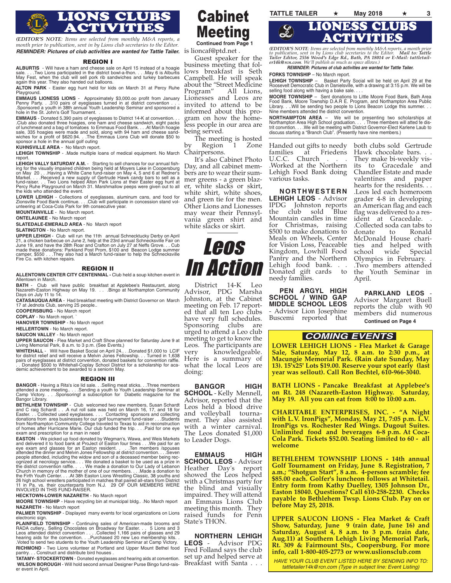

*REMINDER: Pictures of club activities are wanted for Tattle Tailer.*  $\,$  *is*  $\,$  *lioncaf@pt* $\rm d$ *.net . (EDITOR'S NOTE: Items are selected from monthly M&A reports, a month prior to publication, sent in by Lions club secretaries to the Editor.*

#### REGION I

**ALBURTIS** - Will have a ham and cheese sale on April 15 instead of a hoagie sale. . . .Two Lions participated in the district bowl-a-thon. . . .May 6 is Alburtis May Fest, when the club will sell pork rib sandwiches and turkey barbecues again this year. They also handed out balloons.

**ALTON PARK** - Easter egg hunt held for kids on March 31 at Percy Ruhe Playground.

**EMMAUS LIONESS LIONS** - Approximately \$3,000.oo profit from January Penny Party. . .310 pairs of eyeglasses turned in at district convention . . . .Sponsored a youth in 38th annual Youth Leadership Seminar and sponsored a hole in the St. John's Golf Tournament. .

**EMMAUS** - Donated 5,390 pairs of eyeglasses to District 14-K at convention. .Club also donated three hoagies, one ham and cheese sandwich, eight packs of lunchmeat and a bag of tomatoes to Emmaus Food Bank. . . .At March hoagie sale, 335 hoagies were made and sold, along with 94 ham and cheese sandwiches for a profit of \$620.94. . .The Emmaus Lions Club will donate \$50 to sponsor a hole in the annual golf outing

**KUHNSVILLE AREA** - No March report.

**LEHIGH TOWNSHIP** - .Made multiple loans of medical equipment. No March report.

**LEHIGH VALLY SATURDAY A.M.** - Starting to sell chances for our annual fishing for the visually impaired children being held at Moyers Lake in Coopersburg on May 20 . . .Having a White Cane fund-raiser on May 4, 5 and 6 at Redner's Market. . . .Received a new supply of Gertrude Hawk candy bars to sell as a<br>fund-raiser. . . Two Lions helped Alton Park Lions at their Easter egg hunt at<br>Percy Ruhe Playground on March 31. Marshmallow peeps were given out the kids who attended the event.

**LOWER LEHIGH** - Collections of eyeglasses, aluminum cans, and food for Zionsville Food Bank continue. . . .Club will participate in concession stand vol-unteering at Coca-Cola Park for 9th consecutive year.

**MOUNTAINVILLE** - No March report.

**ONTELAUNEE** - No March report

**SLATEDALE-EMERALD AREA** - No March report

**SLATINGTON** - No March report.

**UPPER LEHIGH** - Club will run the 11th annual Schnecktucky Derby on April 21, a chicken barbecue on June 2, help at the 23rd annual Schnecksville Fair on June 19, and have the 28th Roar and Crafton on July 27 at Neffs Grove. . . Cub made these donations: Parkland Post Prom, \$100 and Beacon Lodge summer camper, \$550 . . .They also had a March fund-raiser to help the Schnecksville Fire Co. with kitchen repairs.

#### REGION II

**ALLENTOWN CENTER CITY CENTENNIAL -** Club held a soup kitchen event in Allentown in March.

**BATH** - Club will have public breakfast at Applebee's Restaurant, along Nazareth-Easton Highway on May 19. . . .Bingo at Northampton Community Days on July 11 to 14.

**CATASAUQUA AREA** - Had breakfast meeting with District Governor on March 17 at Jednota Club, serving 25 people..

**COOPERSBURG** - No March report

**COPLAY** - No March report. `

**HANOVER TOWNSHIP** - No March report

**HELLERTOWN** - No March report.

**SAUCON VALLEY** - No March report

**UPPER SAUCON** - Flea Market and Craft Show planned for Saturday June 9 at Living Memorial Park, 8 a.m. to 3 p.m. (See Events,)

**WHITEHALL** - Will have Basket Social on April 24.. . .Donated \$1,000 to LCIF for district relief and will receive a Melvin Jones Fellowship. . . Turned in 1,638 pairs of eyeglasses at district convention, donated baskets for convention raffle.<br>. . Donated \$500 to Whitehall-Coplay School District for a scholarship for aca-<br>demic achievement to be awarded to a seniorin May.

#### REGION III

**BANGOR -** Having a Rita's ice lid sale. . .Selling meat sticks. . .Three members<br>attended a zone meeting.. . . .Sending a youth to Youth Leadership Seminar at<br>Camp Victory. . . .Sponsoringf a subscription for Diabetic m Bangor Library.

**BETHLHEM TOWNSHIP -** Club welcomed two new members, Susan Schard<br>and C raig Schardt ... A nut roll sale was held on March 16, 17, and 18 for<br>Easter. . . Collected used eyeglasses. . . . Contacting sponsors and collecting<br> of homes after Hurricane Marie. Our club funded the trip. . . .Paid for one eye exam and prescription for a man in need

**EASTON** - We picked up food donated by Wegman's, Wawa, and Weis Markets and delivered it to food bank at ProJect of Easton four times . . .We paid for an eye exam and glasses for an Easton resident. . . . Ten members /spouses<br>attended the dinner and Melvin Jones Fellowship at district convention. . . .Seven<br>people attended, including the widow and son of a deceased member b ognized at necrology service... . . We donated a basket to be used as a prize in<br>the district convention raffle... . . . We made a donation to Our Lady of Lebanon<br>Church in memory of the mother of one of our members. . . . 11 in Pa. vs. their counterparts from N.J. 29 OF OUR MEMBERS WERE INVOLVED IN THIS FUND-RAISER.

**HECKTOWN-LOWER NAZARETH** - No March report

**MOORE TOWNSHIP** - Have recycling bin at municipal bldg.. .No March report **NAZARETH** - No March report

**PALMER TOWNSHIP** - Displayed many events for local organizations on Lions electronic sign.

**PLAINFIELD TOWNSHIP -** Continuing sales of American-made brooms and<br>RADA cutlery, Selling Chocolates on Broadway for Easter. . . 5 Lions and 3<br>Leos attended district convention . . . .Collected 1,166 pairs of glasses and **RICHMOND** - Two Lions volunteer at Portland and Upper Mount Bethel food pantry. . . Construct and distribute bird houses .

**TATAMY- STOCKERTOWN** - Donated eyeglasses and hearing aids at convention. **WILSON BOROUGH** - Will hold second annual Designer Purse Bingo fund-raiser event in April.

Cabinet Meeting **Continued from Page 1**

Guest speaker for the business meeting that follows breakfast is Seth Campbell. He will speak about the "Street Medicine Program" All Lions, Lionesses and Leos are invited to attend to be informed about this program on how the homeless people in our area are being served.

The meeting is hosted by Region 1 Zone Chairpersons.

It's also Cabinet Photo Day, and all cabinet members are to wear their summer greens - a green blazer, white slacks or skirt, white shirt, white shoes, and green tie for the men. Other Lions and Lionesses may wear their Pennsylvania green shirt and white slacks or skirt.



District 14-K Leo Advisor, PDG Marsha Johnston, at the Cabinet meeting on Feb. 17 reported that all ten Leo clubs have very full schedules. Sponsoring clubs are urged to attend a Leo club meeting to get to know the Leos. The participants are<br>very knowledgeable. knowledgeable. Here is a summary of what the local Leos are doing:

**BANGOR HIGH SCHOOL** - Kelly Mennell, Advisor, reported that the Leos held a blood drive and volleyball tournament. They also assisted with a winter carnival. The Leos donated \$1,000 to Leader Dogs.

**EMMAUS HIGH SCHOOL LEOS** - Advisor Heather Day's report showed the Leos helped with a Christmas party for the blind and visually impaired. They will attend an Emmaus Lions Club meeting this month. They raised funds for Penn State's THON.

**NORTHERN LEHIGH LEOS** - Advisor PDG Fred Folland says the club set up and helped serve at Breakfast with Santa . . .

**TATTLE TAILER** ★ **May 2018** ★ **<sup>3</sup>** LIONS CLUBS LIONESS CLUBS  $\mathscr{L}$ ACTIVITIES

> *(EDITOR'S NOTE: Items are selected from monthly M&A reports, a month prior to publication, sent in by Lions club secretaries to the Editor. Mail to: Tattle Tailer Editor, 2556 Wood's Edge Rd., Bath, PA 18014 or E-Mail: tattletail-er14k@rcn.com. We'll publish as much as space allows.)*

*REMINDER: Pictures of club activities are wanted for Tattle Tailer.*

#### **FORKS TOWNSHIP** – No March report.

**LEHIGH TOWNSHIP** – Basket Party Social will be held on April 29 at the Roosevelt Democratic Club in Danielsville, with a drawing at 3:15 p.m. We will be selling food along with having a bake sale. . .

**MOORE TOWNSHIP** – Sent donations to Little Moore Food Bank, Bath Area<br>Food Bank, Moore Township D.A.R E. Program, and Northampton Area Public<br>Library. . ..Will be sending two people to Lions Beacon Lodge this summer. . . Nine members attended the district convention.

**NORTHAMPTON AREA -** We will be presenting two scholarships at<br>Northampton Area High School graduation. . . . Three members will atted te dis-<br>trit convntion. . . .We will be meeting with District Governor-Elect Karlene La

Handed out gifts to needy<br>families at Friedens at Friedens U.C.C. Church . .Worked at the Northern Lehigh Food Bank doing various tasks.

**N O R T H W E S T E R N LEHIGH LEOS** - Advisor IPDG Johnston reports the club sold Blue Mountain candles in time for Christmas, raising \$500 to make donations to Meals on Wheels, Center for Vision Loss, Peaceable Kingdom, Lowhill Food Pantry and the Northern Lehigh food bank. . . Donated gift cards to needy families.

**PEN ARGYL HIGH SCHOOL / WIND GAP MIDDLE SCHOOL LEOS** - Advisor Lion Josephine Buscemi reported that

both clubs sold Gertrude Hawk chocolate bars. . . They make bi-weekly visits to Gracedale and Chandler Estate and made valentines and paper hearts for the residents. . . .Leos led each homeroom grader 4-8 in developing an American flag and each flag was delivered to a resident at Gracedale. .Collected soda can tabs to Ronald McDonald House charities and helped with school wide Special Olympics in February. . .Two members attended the Youth Seminar in April.

**PARKLAND LEOS** - Advisor Margaret Buell reports the club with 90 members did numerous **Continued on Page 4**

### *COMING EVENTS*

**LOWER LEHIGH LIONS - Flea Market & Garage Sale, Saturday, May 12, 8 a.m. to 2:30 p.m., at Macungie Memorial Park. (Rain date Sunday, May 13). 15'x25' Lots \$19.00. Reserve your spot early (last year was sellout). Call Ron Bechtel, 610-966-3040.**

**BATH LIONS - Pancake Breakfast at Applebee's on Rt. 248 (Nazareth-Easton Highway. Saturday, May 19. All you can eat from 8:00 to 10:00 a.m.** 

**CHARITABLE ENTERPRISES, INC. - "A Night with L.V. IronPigs", Monday, May 21, 7:05 p.m. L.V. IronPigs vs. Rochester Red Wings. Dugout Suites. Unlimited food and beverages 6-8 p.m. At Coca-Cola Park. Tickets \$52.00. Seating limited to 60 - all welcome**

**BETHLEHEM TOWNSHIP LIONS - 14th annual Golf Tournament on Friday, June 8. Registration, 7 a.m.; "Shotgun Start", 8 a.m. 4-person scramble; fee \$85.00 each. Golfer's luncheon follows at Whitetail. Entry form from Kathy Duelley, 1305 Johnson Dr., Easton 18040. Questions? Call 610-258-2230. Checks payable to Bethlehem Twsp. Lions Club. Pay on or before May 25, 2018.**

**UPPER SAUCON LIONS - Flea Market & Craft Show, Saturday, June 9 (rain date, June 16) and Saturday, August 4, 8 a.m. to 3 p.m. (rain date, Aug.11) at Southern Lehigh Living Memorial Park, Rt. 309 & Fairmount Sts., Coopersburg. For more info, call 1-800-405-2773 or www.uslionsclub.com** 

*HAVE YOUR CLUB EVENT LISTED HERE BY SENDING INFO TO: tattletailer14k@rcn.com (Type in subject line: Event Listing)*